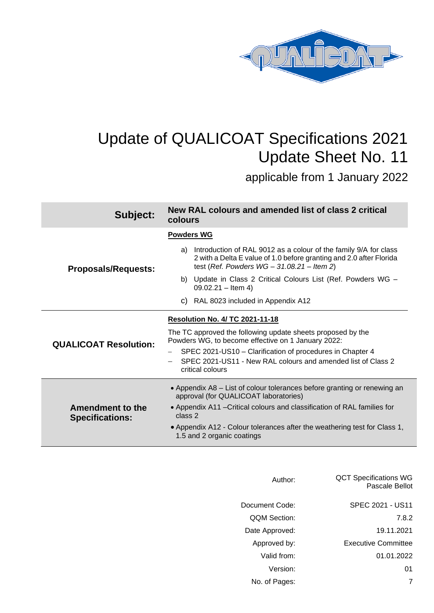

# Update of QUALICOAT Specifications 2021 Update Sheet No. 11

applicable from 1 January 2022

| Subject:                                          | New RAL colours and amended list of class 2 critical<br>colours                                                                                                                                |  |  |  |
|---------------------------------------------------|------------------------------------------------------------------------------------------------------------------------------------------------------------------------------------------------|--|--|--|
|                                                   | <b>Powders WG</b>                                                                                                                                                                              |  |  |  |
| <b>Proposals/Requests:</b>                        | Introduction of RAL 9012 as a colour of the family 9/A for class<br>a)<br>2 with a Delta E value of 1.0 before granting and 2.0 after Florida<br>test (Ref. Powders $WG - 31.08.21 - Item 2$ ) |  |  |  |
|                                                   | b) Update in Class 2 Critical Colours List (Ref. Powders WG -<br>$09.02.21 -$ ltem 4)                                                                                                          |  |  |  |
|                                                   | c) RAL 8023 included in Appendix A12                                                                                                                                                           |  |  |  |
|                                                   | <b>Resolution No. 4/ TC 2021-11-18</b>                                                                                                                                                         |  |  |  |
| <b>QUALICOAT Resolution:</b>                      | The TC approved the following update sheets proposed by the<br>Powders WG, to become effective on 1 January 2022:                                                                              |  |  |  |
|                                                   | SPEC 2021-US10 – Clarification of procedures in Chapter 4<br>SPEC 2021-US11 - New RAL colours and amended list of Class 2<br>critical colours                                                  |  |  |  |
|                                                   | • Appendix A8 – List of colour tolerances before granting or renewing an<br>approval (for QUALICOAT laboratories)                                                                              |  |  |  |
| <b>Amendment to the</b><br><b>Specifications:</b> | • Appendix A11 – Critical colours and classification of RAL families for<br>class 2                                                                                                            |  |  |  |
|                                                   | • Appendix A12 - Colour tolerances after the weathering test for Class 1,<br>1.5 and 2 organic coatings                                                                                        |  |  |  |

| <b>QCT Specifications WG</b><br>Pascale Bellot | Author:        |
|------------------------------------------------|----------------|
| SPEC 2021 - US11                               | Document Code: |
| 7.8.2                                          | QQM Section:   |
| 19.11.2021                                     | Date Approved: |
| <b>Executive Committee</b>                     | Approved by:   |
| 01.01.2022                                     | Valid from:    |
| 01                                             | Version:       |
| 7                                              | No. of Pages:  |
|                                                |                |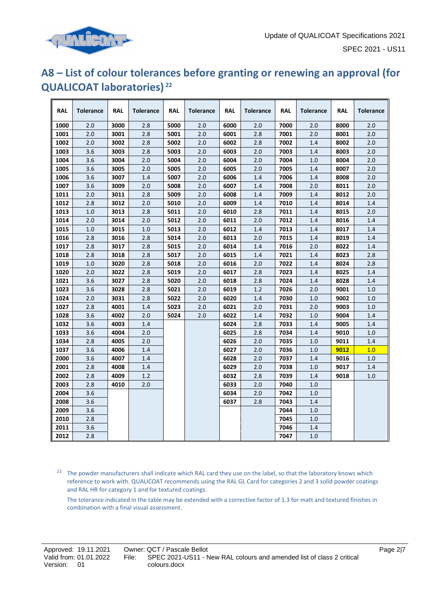

## **A8 – List of colour tolerances before granting or renewing an approval (for QUALICOAT laboratories) <sup>22</sup>**

| <b>RAL</b> | <b>Tolerance</b> | <b>RAL</b> | <b>Tolerance</b> | <b>RAL</b> | <b>Tolerance</b> | <b>RAL</b> | <b>Tolerance</b> | <b>RAL</b> | <b>Tolerance</b> | <b>RAL</b> | <b>Tolerance</b> |
|------------|------------------|------------|------------------|------------|------------------|------------|------------------|------------|------------------|------------|------------------|
| 1000       | 2.0              | 3000       | 2.8              | 5000       | 2.0              | 6000       | 2.0              | 7000       | 2.0              | 8000       | 2.0              |
| 1001       | 2.0              | 3001       | 2.8              | 5001       | 2.0              | 6001       | 2.8              | 7001       | 2.0              | 8001       | 2.0              |
| 1002       | 2.0              | 3002       | 2.8              | 5002       | 2.0              | 6002       | 2.8              | 7002       | 1.4              | 8002       | 2.0              |
| 1003       | 3.6              | 3003       | 2.8              | 5003       | 2.0              | 6003       | 2.0              | 7003       | 1.4              | 8003       | 2.0              |
| 1004       | 3.6              | 3004       | 2.0              | 5004       | 2.0              | 6004       | 2.0              | 7004       | 1.0              | 8004       | 2.0              |
| 1005       | 3.6              | 3005       | 2.0              | 5005       | 2.0              | 6005       | 2.0              | 7005       | 1.4              | 8007       | 2.0              |
| 1006       | 3.6              | 3007       | 1.4              | 5007       | 2.0              | 6006       | 1.4              | 7006       | 1.4              | 8008       | 2.0              |
| 1007       | 3.6              | 3009       | 2.0              | 5008       | 2.0              | 6007       | 1.4              | 7008       | 2.0              | 8011       | 2.0              |
| 1011       | 2.0              | 3011       | 2.8              | 5009       | 2.0              | 6008       | 1.4              | 7009       | 1.4              | 8012       | 2.0              |
| 1012       | 2.8              | 3012       | 2.0              | 5010       | 2.0              | 6009       | 1.4              | 7010       | 1.4              | 8014       | 1.4              |
| 1013       | 1.0              | 3013       | 2.8              | 5011       | 2.0              | 6010       | 2.8              | 7011       | 1.4              | 8015       | 2.0              |
| 1014       | 2.0              | 3014       | 2.0              | 5012       | 2.0              | 6011       | 2.0              | 7012       | 1.4              | 8016       | 1.4              |
| 1015       | 1.0              | 3015       | 1.0              | 5013       | 2.0              | 6012       | 1.4              | 7013       | 1.4              | 8017       | 1.4              |
| 1016       | 2.8              | 3016       | 2.8              | 5014       | 2.0              | 6013       | 2.0              | 7015       | 1.4              | 8019       | 1.4              |
| 1017       | 2.8              | 3017       | 2.8              | 5015       | 2.0              | 6014       | 1.4              | 7016       | 2.0              | 8022       | 1.4              |
| 1018       | 2.8              | 3018       | 2.8              | 5017       | 2.0              | 6015       | 1.4              | 7021       | 1.4              | 8023       | 2.8              |
| 1019       | 1.0              | 3020       | 2.8              | 5018       | 2.0              | 6016       | 2.0              | 7022       | 1.4              | 8024       | 2.8              |
| 1020       | 2.0              | 3022       | 2.8              | 5019       | 2.0              | 6017       | 2.8              | 7023       | 1.4              | 8025       | 1.4              |
| 1021       | 3.6              | 3027       | 2.8              | 5020       | 2.0              | 6018       | 2.8              | 7024       | 1.4              | 8028       | 1.4              |
| 1023       | 3.6              | 3028       | 2.8              | 5021       | 2.0              | 6019       | 1.2              | 7026       | 2.0              | 9001       | 1.0              |
| 1024       | 2.0              | 3031       | 2.8              | 5022       | 2.0              | 6020       | 1.4              | 7030       | 1.0              | 9002       | 1.0              |
| 1027       | 2.8              | 4001       | 1.4              | 5023       | 2.0              | 6021       | 2.0              | 7031       | 2.0              | 9003       | 1.0              |
| 1028       | 3.6              | 4002       | 2.0              | 5024       | 2.0              | 6022       | 1.4              | 7032       | 1.0              | 9004       | 1.4              |
| 1032       | 3.6              | 4003       | 1.4              |            |                  | 6024       | 2.8              | 7033       | 1.4              | 9005       | 1.4              |
| 1033       | 3.6              | 4004       | 2.0              |            |                  | 6025       | 2.8              | 7034       | 1.4              | 9010       | 1.0              |
| 1034       | 2.8              | 4005       | 2.0              |            |                  | 6026       | 2.0              | 7035       | 1.0              | 9011       | 1.4              |
| 1037       | 3.6              | 4006       | 1.4              |            |                  | 6027       | 2.0              | 7036       | 1.0              | 9012       | 1.0              |
| 2000       | 3.6              | 4007       | 1.4              |            |                  | 6028       | 2.0              | 7037       | 1.4              | 9016       | 1.0              |
| 2001       | 2.8              | 4008       | 1.4              |            |                  | 6029       | 2.0              | 7038       | 1.0              | 9017       | 1.4              |
| 2002       | 2.8              | 4009       | 1.2              |            |                  | 6032       | 2.8              | 7039       | 1.4              | 9018       | 1.0              |
| 2003       | 2.8              | 4010       | 2.0              |            |                  | 6033       | 2.0              | 7040       | 1.0              |            |                  |
| 2004       | 3.6              |            |                  |            |                  | 6034       | 2.0              | 7042       | 1.0              |            |                  |
| 2008       | 3.6              |            |                  |            |                  | 6037       | 2.8              | 7043       | 1.4              |            |                  |
| 2009       | 3.6              |            |                  |            |                  |            |                  | 7044       | 1.0              |            |                  |
| 2010       | 2.8              |            |                  |            |                  |            |                  | 7045       | 1.0              |            |                  |
| 2011       | 3.6              |            |                  |            |                  |            |                  | 7046       | 1.4              |            |                  |
| 2012       | 2.8              |            |                  |            |                  |            |                  | 7047       | 1.0              |            |                  |

<sup>22</sup> The powder manufacturers shall indicate which RAL card they use on the label, so that the laboratory knows which reference to work with. QUALICOAT recommends using the RAL GL Card for categories 2 and 3 solid powder coatings and RAL HR for category 1 and for textured coatings.

The tolerance indicated in the table may be extended with a corrective factor of 1.3 for matt and textured finishes in combination with a final visual assessment.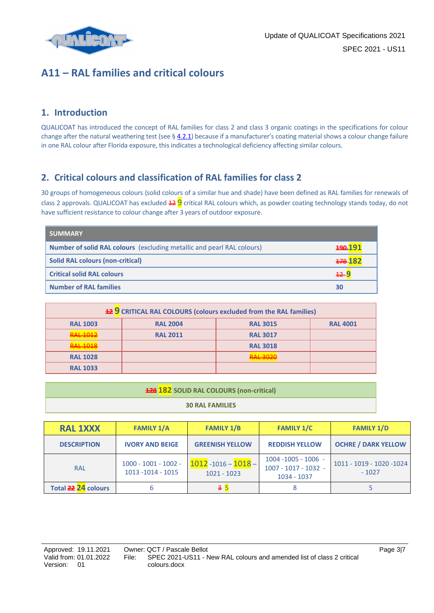

### **A11 – RAL families and critical colours**

#### **1. Introduction**

QUALICOAT has introduced the concept of RAL families for class 2 and class 3 organic coatings in the specifications for colour change after the natural weathering test (see  $\S$  4.2.1) because if a manufacturer's coating material shows a colour change failure in one RAL colour after Florida exposure, this indicates a technological deficiency affecting similar colours.

#### **2. Critical colours and classification of RAL families for class 2**

30 groups of homogeneous colours (solid colours of a similar hue and shade) have been defined as RAL families for renewals of class 2 approvals. QUALICOAT has excluded  $429$  critical RAL colours which, as powder coating technology stands today, do not have sufficient resistance to colour change after 3 years of outdoor exposure.

| <b>SUMMARY</b>                                                                |                 |
|-------------------------------------------------------------------------------|-----------------|
| <b>Number of solid RAL colours</b> (excluding metallic and pearl RAL colours) | <u> 190-191</u> |
| <b>Solid RAL colours (non-critical)</b>                                       | $+78.182$       |
| <b>Critical solid RAL colours</b>                                             | $+2-9$          |
| <b>Number of RAL families</b>                                                 | 30              |

| <b>12 9</b> CRITICAL RAL COLOURS (colours excluded from the RAL families) |                 |                 |                 |  |  |  |
|---------------------------------------------------------------------------|-----------------|-----------------|-----------------|--|--|--|
| <b>RAL 1003</b>                                                           | <b>RAL 2004</b> | <b>RAL 3015</b> | <b>RAL 4001</b> |  |  |  |
| רוחו וגנ                                                                  | <b>RAL 2011</b> | <b>RAL 3017</b> |                 |  |  |  |
|                                                                           |                 | <b>RAL 3018</b> |                 |  |  |  |
| <b>RAL 1028</b>                                                           |                 | מרחכ וגם        |                 |  |  |  |
| <b>RAL 1033</b>                                                           |                 |                 |                 |  |  |  |

| <b>178 182</b> SOLID RAL COLOURS (non-critical) |  |  |
|-------------------------------------------------|--|--|
| <b>30 RAL FAMILIES</b>                          |  |  |

| <b>RAL 1XXX</b>     | <b>FAMILY 1/A</b>                            | <b>FAMILY 1/B</b>                       | <b>FAMILY 1/C</b>                                             | <b>FAMILY 1/D</b>                    |
|---------------------|----------------------------------------------|-----------------------------------------|---------------------------------------------------------------|--------------------------------------|
| <b>DESCRIPTION</b>  | <b>IVORY AND BEIGE</b>                       | <b>GREENISH YELLOW</b>                  | <b>REDDISH YELLOW</b>                                         | <b>OCHRE / DARK YELLOW</b>           |
| <b>RAL</b>          | $1000 - 1001 - 1002 -$<br>1013 - 1014 - 1015 | $1012 - 1016 - 1018 -$<br>$1021 - 1023$ | $1004 - 1005 - 1006$ -<br>1007 - 1017 - 1032 -<br>1034 - 1037 | 1011 - 1019 - 1020 - 1024<br>$-1027$ |
| Total 22 24 colours |                                              | 3!                                      |                                                               |                                      |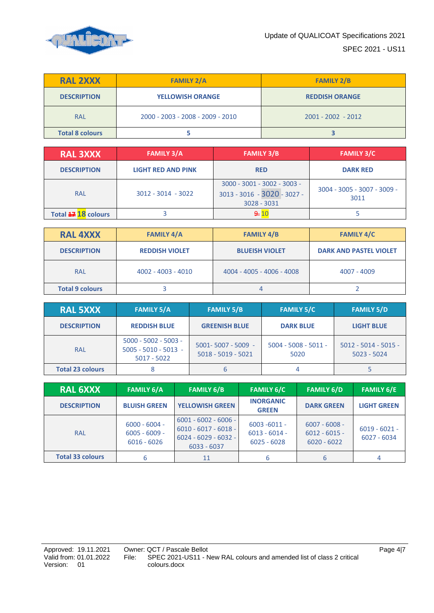

| <b>RAL 2XXX</b>        | <b>FAMILY 2/A</b>                | <b>FAMILY 2/B</b>     |  |
|------------------------|----------------------------------|-----------------------|--|
| <b>DESCRIPTION</b>     | <b>YELLOWISH ORANGE</b>          | <b>REDDISH ORANGE</b> |  |
| <b>RAL</b>             | 2000 - 2003 - 2008 - 2009 - 2010 | $2001 - 2002 - 2012$  |  |
| <b>Total 8 colours</b> |                                  |                       |  |

| <b>RAL 3XXX</b><br><b>FAMILY 3/A</b> |                           | <b>FAMILY 3/B</b>                                                             | <b>FAMILY 3/C</b>                   |
|--------------------------------------|---------------------------|-------------------------------------------------------------------------------|-------------------------------------|
| <b>DESCRIPTION</b>                   | <b>LIGHT RED AND PINK</b> | <b>RED</b>                                                                    | <b>DARK RED</b>                     |
| <b>RAL</b>                           | $3012 - 3014 - 3022$      | $3000 - 3001 - 3002 - 3003 -$<br>3013 - 3016 - 3020 - 3027 -<br>$3028 - 3031$ | 3004 - 3005 - 3007 - 3009 -<br>3011 |
| Total $\rightleftarrows$ 18 colours  |                           | $\div 10$                                                                     |                                     |

| <b>RAL 4XXX</b>        | <b>FAMILY 4/A</b>     | <b>FAMILY 4/B</b>         | <b>FAMILY 4/C</b>             |  |
|------------------------|-----------------------|---------------------------|-------------------------------|--|
| <b>DESCRIPTION</b>     | <b>REDDISH VIOLET</b> | <b>BLUEISH VIOLET</b>     | <b>DARK AND PASTEL VIOLET</b> |  |
| <b>RAL</b>             | 4002 - 4003 - 4010    | 4004 - 4005 - 4006 - 4008 | 4007 - 4009                   |  |
| <b>Total 9 colours</b> |                       | 4                         |                               |  |

| <b>RAL 5XXX</b>         | <b>FAMILY 5/A</b>                                                 | <b>FAMILY 5/B</b>                              | <b>FAMILY 5/C</b>              | <b>FAMILY 5/D</b>                       |
|-------------------------|-------------------------------------------------------------------|------------------------------------------------|--------------------------------|-----------------------------------------|
| <b>DESCRIPTION</b>      | <b>REDDISH BLUE</b>                                               | <b>GREENISH BLUE</b>                           | <b>DARK BLUE</b>               | <b>LIGHT BLUE</b>                       |
| <b>RAL</b>              | $5000 - 5002 - 5003 -$<br>$5005 - 5010 - 5013 -$<br>$5017 - 5022$ | $5001 - 5007 - 5009 -$<br>$5018 - 5019 - 5021$ | $5004 - 5008 - 5011 -$<br>5020 | $5012 - 5014 - 5015 -$<br>$5023 - 5024$ |
| <b>Total 23 colours</b> |                                                                   |                                                | 4                              |                                         |

| <b>RAL 6XXX</b>         | <b>FAMILY 6/A</b>                                   | <b>FAMILY 6/B</b>                                                                           | <b>FAMILY 6/C</b>                                   | <b>FAMILY 6/D</b>                                   | <b>FAMILY 6/E</b>                |
|-------------------------|-----------------------------------------------------|---------------------------------------------------------------------------------------------|-----------------------------------------------------|-----------------------------------------------------|----------------------------------|
| <b>DESCRIPTION</b>      | <b>BLUISH GREEN</b>                                 | <b>YELLOWISH GREEN</b>                                                                      | <b>INORGANIC</b><br><b>GREEN</b>                    | <b>DARK GREEN</b>                                   | <b>LIGHT GREEN</b>               |
| <b>RAL</b>              | $6000 - 6004 -$<br>$6005 - 6009 -$<br>$6016 - 6026$ | $6001 - 6002 - 6006 -$<br>$6010 - 6017 - 6018 -$<br>$6024 - 6029 - 6032 -$<br>$6033 - 6037$ | $6003 - 6011 -$<br>$6013 - 6014 -$<br>$6025 - 6028$ | $6007 - 6008 -$<br>$6012 - 6015 -$<br>$6020 - 6022$ | $6019 - 6021 -$<br>$6027 - 6034$ |
| <b>Total 33 colours</b> | 6                                                   | 11                                                                                          | 6                                                   | 6                                                   |                                  |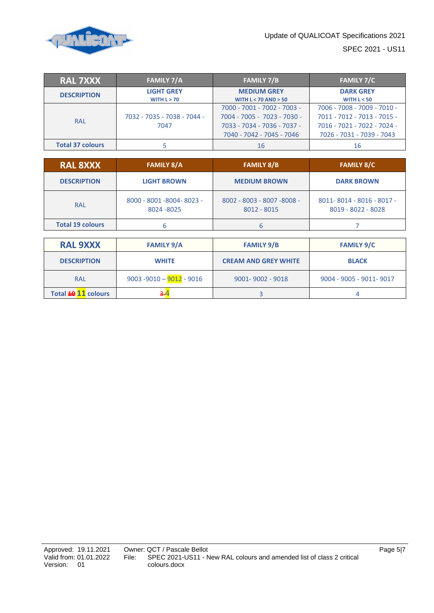

| <b>RAL 7XXX</b>         | <b>FAMILY 7/A</b>                   | <b>FAMILY 7/B</b>                                                                                                      | <b>FAMILY 7/C</b>                                                                                                      |  |  |  |
|-------------------------|-------------------------------------|------------------------------------------------------------------------------------------------------------------------|------------------------------------------------------------------------------------------------------------------------|--|--|--|
| <b>DESCRIPTION</b>      | <b>LIGHT GREY</b><br>WITH $L > 70$  | <b>MEDIUM GREY</b><br><b>WITH L &lt; 70 AND &gt; 50</b>                                                                | <b>DARK GREY</b><br>WITH $L < 50$                                                                                      |  |  |  |
| <b>RAL</b>              | 7032 - 7035 - 7038 - 7044 -<br>7047 | 7000 - 7001 - 7002 - 7003 -<br>7004 - 7005 - 7023 - 7030 -<br>7033 - 7034 - 7036 - 7037 -<br>7040 - 7042 - 7045 - 7046 | 7006 - 7008 - 7009 - 7010 -<br>7011 - 7012 - 7013 - 7015 -<br>7016 - 7021 - 7022 - 7024 -<br>7026 - 7031 - 7039 - 7043 |  |  |  |
| <b>Total 37 colours</b> |                                     | 16                                                                                                                     | 16                                                                                                                     |  |  |  |

| <b>RAL 8XXX</b>         | <b>FAMILY 8/A</b>                        | <b>FAMILY 8/B</b>                          | <b>FAMILY 8/C</b>                               |  |  |  |
|-------------------------|------------------------------------------|--------------------------------------------|-------------------------------------------------|--|--|--|
| <b>DESCRIPTION</b>      | <b>LIGHT BROWN</b>                       | <b>MEDIUM BROWN</b>                        | <b>DARK BROWN</b>                               |  |  |  |
| <b>RAL</b>              | 8000 - 8001 - 8004 - 8023 -<br>8024-8025 | 8002 - 8003 - 8007 - 8008 -<br>8012 - 8015 | 8011-8014 - 8016 - 8017 -<br>8019 - 8022 - 8028 |  |  |  |
| <b>Total 19 colours</b> |                                          |                                            |                                                 |  |  |  |

| <b>RAL 9XXX</b>     | <b>FAMILY 9/A</b>           | <b>FAMILY 9/B</b>           | <b>FAMILY 9/C</b>        |  |  |  |
|---------------------|-----------------------------|-----------------------------|--------------------------|--|--|--|
| <b>DESCRIPTION</b>  | <b>WHITE</b>                | <b>CREAM AND GREY WHITE</b> | <b>BLACK</b>             |  |  |  |
| <b>RAL</b>          | $9003 - 9010 - 9012 - 9016$ | $9001 - 9002 - 9018$        | 9004 - 9005 - 9011- 9017 |  |  |  |
| Total 49 11 colours |                             |                             |                          |  |  |  |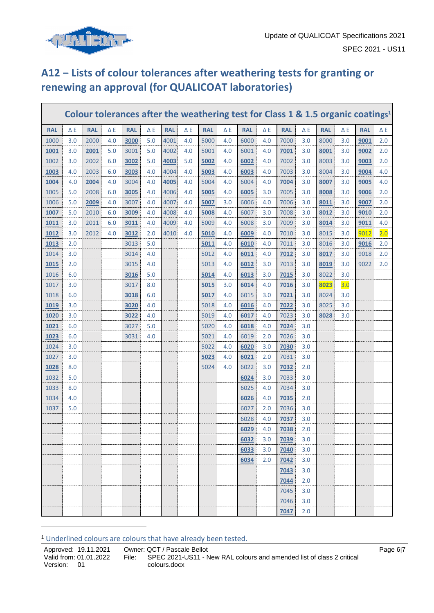

Г

## **A12 ‒ Lists of colour tolerances after weathering tests for granting or renewing an approval (for QUALICOAT laboratories)**

|             |            |            |            |            |            |            |            | Colour tolerances after the weathering test for Class 1 & 1.5 organic coatings <sup>1</sup> |            |            |            |            |            |            |            |            |            |
|-------------|------------|------------|------------|------------|------------|------------|------------|---------------------------------------------------------------------------------------------|------------|------------|------------|------------|------------|------------|------------|------------|------------|
| <b>RAL</b>  | $\Delta E$ | <b>RAL</b> | $\Delta$ E | <b>RAL</b> | $\Delta$ E | <b>RAL</b> | $\Delta$ E | <b>RAL</b>                                                                                  | $\Delta$ E | <b>RAL</b> | $\Delta$ E | <b>RAL</b> | $\Delta E$ | <b>RAL</b> | $\Delta$ E | <b>RAL</b> | $\Delta E$ |
| 1000        | 3.0        | 2000       | 4.0        | 3000       | 5.0        | 4001       | 4.0        | 5000                                                                                        | 4.0        | 6000       | 4.0        | 7000       | 3.0        | 8000       | 3.0        | 9001       | 2.0        |
| 1001        | 3.0        | 2001       | 5.0        | 3001       | 5.0        | 4002       | 4.0        | 5001                                                                                        | 4.0        | 6001       | 4.0        | 7001       | 3.0        | 8001       | 3.0        | 9002       | 2.0        |
| 1002        | 3.0        | 2002       | 6.0        | 3002       | 5.0        | 4003       | 5.0        | 5002                                                                                        | 4.0        | 6002       | 4.0        | 7002       | 3.0        | 8003       | 3.0        | 9003       | 2.0        |
| 1003        | 4.0        | 2003       | 6.0        | 3003       | 4.0        | 4004       | 4.0        | 5003                                                                                        | 4.0        | 6003       | 4.0        | 7003       | 3.0        | 8004       | 3.0        | 9004       | 4.0        |
| 1004        | 4.0        | 2004       | 4.0        | 3004       | 4.0        | 4005       | 4.0        | 5004                                                                                        | 4.0        | 6004       | 4.0        | 7004       | 3.0        | 8007       | 3.0        | 9005       | 4.0        |
| 1005        | 5.0        | 2008       | 6.0        | 3005       | 4.0        | 4006       | 4.0        | 5005                                                                                        | 4.0        | 6005       | 3.0        | 7005       | 3.0        | 8008       | 3.0        | 9006       | 2.0        |
| 1006        | 5.0        | 2009       | 4.0        | 3007       | 4.0        | 4007       | 4.0        | 5007                                                                                        | 3.0        | 6006       | 4.0        | 7006       | 3.0        | 8011       | 3.0        | 9007       | 2.0        |
| 1007        | 5.0        | 2010       | 6.0        | 3009       | 4.0        | 4008       | 4.0        | 5008                                                                                        | 4.0        | 6007       | 3.0        | 7008       | 3.0        | 8012       | 3.0        | 9010       | 2.0        |
| 1011        | 3.0        | 2011       | 6.0        | 3011       | 4.0        | 4009       | 4.0        | 5009                                                                                        | 4.0        | 6008       | 3.0        | 7009       | 3.0        | 8014       | 3.0        | 9011       | 4.0        |
| 1012        | 3.0        | 2012       | 4.0        | 3012       | 2.0        | 4010       | 4.0        | 5010                                                                                        | 4.0        | 6009       | 4.0        | 7010       | 3.0        | 8015       | 3.0        | 9012       | 2.0        |
| 1013        | 2.0        |            |            | 3013       | 5.0        |            |            | 5011                                                                                        | 4.0        | 6010       | 4.0        | 7011       | 3.0        | 8016       | 3.0        | 9016       | 2.0        |
| 1014        | 3.0        |            |            | 3014       | 4.0        |            |            | 5012                                                                                        | 4.0        | 6011       | 4.0        | 7012       | 3.0        | 8017       | 3.0        | 9018       | 2.0        |
| <b>1015</b> | 2.0        |            |            | 3015       | 4.0        |            |            | 5013                                                                                        | 4.0        | 6012       | 3.0        | 7013       | 3.0        | 8019       | 3.0        | 9022       | 2.0        |
| 1016        | 6.0        |            |            | 3016       | 5.0        |            |            | 5014                                                                                        | 4.0        | 6013       | 3.0        | 7015       | 3.0        | 8022       | 3.0        |            |            |
| 1017        | 3.0        |            |            | 3017       | 8.0        |            |            | 5015                                                                                        | 3.0        | 6014       | 4.0        | 7016       | 3.0        | 8023       | 3.0        |            |            |
| 1018        | 6.0        |            |            | 3018       | 6.0        |            |            | 5017                                                                                        | 4.0        | 6015       | 3.0        | 7021       | 3.0        | 8024       | 3.0        |            |            |
| <b>1019</b> | 3.0        |            |            | 3020       | 4.0        |            |            | 5018                                                                                        | 4.0        | 6016       | 4.0        | 7022       | 3.0        | 8025       | 3.0        |            |            |
| 1020        | 3.0        |            |            | 3022       | 4.0        |            |            | 5019                                                                                        | 4.0        | 6017       | 4.0        | 7023       | 3.0        | 8028       | 3.0        |            |            |
| 1021        | 6.0        |            |            | 3027       | 5.0        |            |            | 5020                                                                                        | 4.0        | 6018       | 4.0        | 7024       | 3.0        |            |            |            |            |
| 1023        | 6.0        |            |            | 3031       | 4.0        |            |            | 5021                                                                                        | 4.0        | 6019       | 2.0        | 7026       | 3.0        |            |            |            |            |
| 1024        | 3.0        |            |            |            |            |            |            | 5022                                                                                        | 4.0        | 6020       | 3.0        | 7030       | 3.0        |            |            |            |            |
| 1027        | 3.0        |            |            |            |            |            |            | 5023                                                                                        | 4.0        | 6021       | 2.0        | 7031       | 3.0        |            |            |            |            |
| 1028        | 8.0        |            |            |            |            |            |            | 5024                                                                                        | 4.0        | 6022       | 3.0        | 7032       | 2.0        |            |            |            |            |
| 1032        | 5.0        |            |            |            |            |            |            |                                                                                             |            | 6024       | 3.0        | 7033       | 3.0        |            |            |            |            |
| 1033        | 8.0        |            |            |            |            |            |            |                                                                                             |            | 6025       | 4.0        | 7034       | 3.0        |            |            |            |            |
| 1034        | 4.0        |            |            |            |            |            |            |                                                                                             |            | 6026       | 4.0        | 7035       | 2.0        |            |            |            |            |
| 1037        | 5.0        |            |            |            |            |            |            |                                                                                             |            | 6027       | 2.0        | 7036       | 3.0        |            |            |            |            |
|             |            |            |            |            |            |            |            |                                                                                             |            | 6028       | 4.0        | 7037       | 3.0        |            |            |            |            |
|             |            |            |            |            |            |            |            |                                                                                             |            | 6029       | 4.0        | 7038       | 2.0        |            |            |            |            |
|             |            |            |            |            |            |            |            |                                                                                             |            | 6032       | 3.0        | 7039       | 3.0        |            |            |            |            |
|             |            |            |            |            |            |            |            |                                                                                             |            | 6033       | 3.0        | 7040       | 3.0        |            |            |            |            |
|             |            |            |            |            |            |            |            |                                                                                             |            | 6034       | 2.0        | 7042       | 3.0        |            |            |            |            |
|             |            |            |            |            |            |            |            |                                                                                             |            |            |            | 7043       | 3.0        |            |            |            |            |
|             |            |            |            |            |            |            |            |                                                                                             |            |            |            | 7044       | 2.0        |            |            |            |            |
|             |            |            |            |            |            |            |            |                                                                                             |            |            |            | 7045       | 3.0        |            |            |            |            |
|             |            |            |            |            |            |            |            |                                                                                             |            |            |            | 7046       | 3.0        |            |            |            |            |
|             |            |            |            |            |            |            |            |                                                                                             |            |            |            | 7047       | 2.0        |            |            |            |            |

Underlined colours are colours that have already been tested.

Approved: 19.11.2021